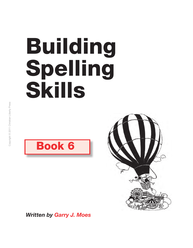# Building Spelling Skills





*Written by Garry J. Moes*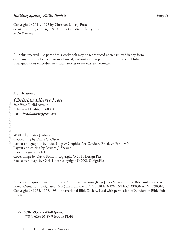Copyright © 2011, 1993 by Christian Liberty Press Second Edition, copyright © 2011 by Christian Liberty Press *2018 Printing*

All rights reserved. No part of this workbook may be reproduced or transmitted in any form or by any means, electronic or mechanical, without written permission from the publisher. Brief quotations embodied in critical articles or reviews are permitted.

A publication of

*Christian Liberty Press*

502 West Euclid Avenue Arlington Heights, IL 60004 *www.christianlibertypress.com*

Written by Garry J. Moes Copyediting by Diane C. Olson Layout and graphics by Jodee Kulp @ Graphics Arts Services, Brooklyn Park, MN Layout and editing by Edward J. Shewan Cover design by Bob Fine Cover image by David Ponton, copyright © 2011 Design Pics Back cover image by Chris Knorr, copyright © 2008 DesignPics

All Scripture quotations are from the Authorized Version (King James Version) of the Bible unless otherwise noted. Quotations designated (NIV) are from the HOLY BIBLE, NEW INTERNATIONAL VERSION, Copyright © 1973, 1978, 1984 International Bible Society. Used with permission of Zondervon Bible Publishers.

ISBN 978-1-935796-06-0 (print) 978-1-629820-85-9 (eBook PDF)

Printed in the United States of America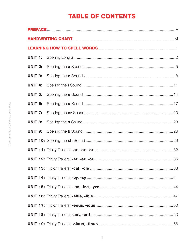### **TABLE OF CONTENTS**

| <b>UNIT 1:</b> |  |  |  |
|----------------|--|--|--|
| <b>UNIT 2:</b> |  |  |  |
| <b>UNIT 3:</b> |  |  |  |
| <b>UNIT 4:</b> |  |  |  |
| <b>UNIT 5:</b> |  |  |  |
| <b>UNIT 6:</b> |  |  |  |
| <b>UNIT 7:</b> |  |  |  |
| <b>UNIT 8:</b> |  |  |  |
| <b>UNIT 9:</b> |  |  |  |
|                |  |  |  |
|                |  |  |  |
|                |  |  |  |
|                |  |  |  |
|                |  |  |  |
|                |  |  |  |
|                |  |  |  |
|                |  |  |  |
|                |  |  |  |
|                |  |  |  |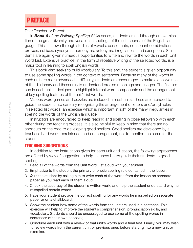### PREFACE

Dear Teacher or Parent:

In *Book 6* of the *Building Spelling Skills* series, students are led through an examination of the great diversity and variation in spellings of the rich sounds of the English language. This is shown through studies of vowels, consonants, consonant combinations, prefixes, suffixes, synonyms, homonyms, antonyms, irregularities, and exceptions. Students are again given numerous opportunities to write and rewrite the words in each Unit Word List. Extensive practice, in the form of repetitive writing of the selected words, is a major tool in learning to spell English words.

This book also seeks to build vocabulary. To this end, the student is given opportunity to use some spelling words in the context of sentences. Because many of the words in each unit are more advanced in difficulty, students are encouraged to make extensive use of the dictionary and thesaurus to understand precise meanings and usages. The final lesson in each unit is designed to highlight internal word components and the arrangement of key spelling features of the unit's list words.

Various word games and puzzles are included in most units. These are intended to guide the student into carefully recognizing the arrangement of letters and/or syllables in selected list words, an exercise which is important in light of the many irregularities in spelling the words of the English language.

Instructors are encouraged to keep reading and spelling in close fellowship with each other during the teaching process. It is also helpful to keep in mind that there are no shortcuts on the road to developing good spellers. Good spellers are developed by a teacher's hard work, persistence, and encouragement, not to mention the same for the student.

### TEACHING SUGGESTIONS

In addition to the instructions given for each unit and lesson, the following approaches are offered by way of suggestion to help teachers better guide their students to good spelling.

- 1. Read all of the words from the Unit Word List aloud with your student.
- 2. Emphasize to the student the primary phonetic spelling rule contained in the lesson.
- 3. Quiz the student by asking him to write each of the words from the lesson on separate paper as you read each of them aloud.
- 4. Check the accuracy of the student's written work, and help the student understand why he misspelled certain words.
- 5. Have your student provide the correct spelling for any words he misspelled on separate paper or on a chalkboard.
- 6. Show the student how some of the words from the unit are used in a sentence. This exercise will help to improve the student's comprehension, pronunciation skills, and vocabulary. Students should be encouraged to use some of the spelling words in sentences of their own choosing.
- 7. Conclude each unit with a review of that unit's words and a final test. Finally, you may wish to review words from the current unit or previous ones before starting into a new unit or exercise.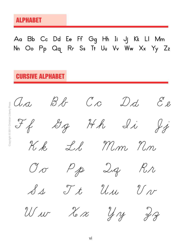### ALPHABET

Aa Bb Cc Dd Ee Ff Gg Hh Ii Jj Kk Ll Mm Nn Oo Pp Qq Rr Ss Tt Uu Vv Ww Xx Yy Zz

### CURSIVE ALPHABET









Ss Tt Uu Vv

 $Ww$   $\chi$   $\alpha$   $\gamma$   $\gamma$   $\gamma$ 

vi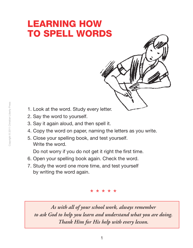# LEARNING HOW TO SPELL WORDS



- 1. Look at the word. Study every letter.
- 2. Say the word to yourself.
- 3. Say it again aloud, and then spell it.
- 4. Copy the word on paper, naming the letters as you write.
- 5. Close your spelling book, and test yourself. Write the word.

Do not worry if you do not get it right the first time.

- 6. Open your spelling book again. Check the word.
- 7. Study the word one more time, and test yourself by writing the word again.

\* \* \* \* \*

*As with all of your school work, always remember to ask God to help you learn and understand what you are doing. Thank Him for His help with every lesson.*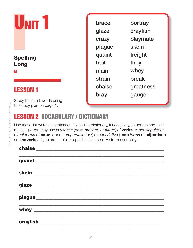|                         | NI I |  |
|-------------------------|------|--|
| <b>Spelling</b><br>Long |      |  |

#### brace glaze crazy plague quaint frail maim strain chaise bray portray crayfish playmate skein freight they whey break greatness gauge

### LESSON 1

Study these list words using the study plan on page 1.

## LESSON 2 VOCABULARY / DICTIONARY

Use these list words in sentences. Consult a dictionary, if necessary, to understand their meanings. You may use any *tense* (*past*, *present*, or *future*) of verbs, either *singular* or *plural forms* of nouns, and *comparative* (-er) or *superlative* (-est) *forms* of adjectives and **adverbs**, if you are careful to spell these alternative forms correctly.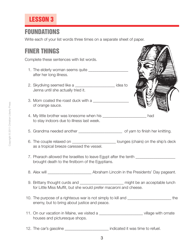### FOUNDATIONS

Write each of your list words three times on a separate sheet of paper.

### FINER THINGS

Complete these sentences with list words.

- 1. The elderly woman seems quite after her long illness.
- 2. Skydiving seemed like a zoologies and state idea to Jenna until she actually tried it.
- 3. Mom coated the roast duck with a \_\_\_\_\_\_\_\_\_\_\_\_\_\_\_\_\_\_ of orange sauce.
- 4. My little brother was lonesome when his **EXACT 100 SET 100 SET 100 SET 100 SET 100** had to stay indoors due to illness last week.
- 5. Grandma needed another **Fig. 2016** Comparison of yarn to finish her knitting.
- 6. The couple relaxed on \_\_\_\_\_\_\_\_\_\_\_\_\_\_\_\_\_\_\_\_\_\_ lounges (chairs) on the ship's deck as a tropical breeze caressed the vessel.
- 7. Pharaoh allowed the Israelites to leave Egypt after the tenth \_\_\_\_\_\_\_\_\_\_\_\_\_\_\_ brought death to the firstborn of the Egyptians.
- 8. Alex will \_\_\_\_\_\_\_\_\_\_\_\_\_\_\_\_\_\_\_\_\_\_ Abraham Lincoln in the Presidents' Day pageant.
- 9. Brittany thought curds and \_\_\_\_\_\_\_\_\_\_\_\_\_\_\_\_\_\_\_\_\_\_\_ might be an acceptable lunch for Little Miss Muffit, but she would prefer macaroni and cheese.
- 10. The purpose of a righteous war is not simply to kill and \_\_\_\_\_\_\_\_\_\_\_\_\_\_\_\_\_\_\_\_\_\_ the enemy, but to bring about justice and peace.
- 11. On our vacation in Maine, we visited a series and series with ornate houses and picturesque shops.
- 12. The car's gasoline \_\_\_\_\_\_\_\_\_\_\_\_\_\_\_\_\_\_\_\_\_\_\_\_\_\_ indicated it was time to refuel.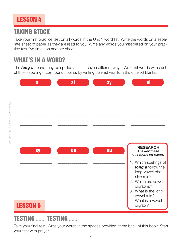### **TAKING STOCK**

Take your first practice test on all words in the Unit 1 word list. Write the words on a separate sheet of paper as they are read to you. Write any words you misspelled on your practice test five times on another sheet.

### **WHAT'S IN A WORD?**

The **long a** sound may be spelled at least seven different ways. Write list words with each of these spellings. Earn bonus points by writing non-list words in the unused blanks.

| $\overline{a}$      | ai | ay | ei                                                                                                                                                          |
|---------------------|----|----|-------------------------------------------------------------------------------------------------------------------------------------------------------------|
|                     |    |    |                                                                                                                                                             |
|                     |    |    |                                                                                                                                                             |
|                     |    |    |                                                                                                                                                             |
|                     |    |    |                                                                                                                                                             |
| ey                  | ea | au | <b>RESEARCH</b><br><b>Answer these</b><br>questions on paper:                                                                                               |
|                     |    |    | 1. Which spellings of<br><b>long a</b> follow the<br>long-vowel pho-<br>nics rule?<br>2. Which are vowel<br>digraphs?<br>3. What is the long<br>vowel rule? |
| <b>LESSO</b><br>N 5 |    |    | What is a vowel<br>digraph?                                                                                                                                 |

### TESTING ... TESTING ...

Take your final test. Write your words in the spaces provided at the back of this book. Start your test with prayer.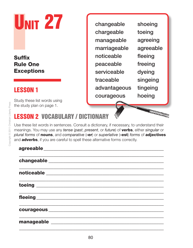# **UNIT 27**

### **Suffix Rule One Exceptions**

## **LESSON 1**

Study these list words using the study plan on page 1.

changeable shoeing chargeable toeing agreeing manageable marriageable agreeable noticeable fleeing freeing peaceable serviceable dyeing singeing traceable tingeing advantageous hoeing courageous

## **LESSON 2 VOCABULARY / DICTIONARY**

Use these list words in sentences. Consult a dictionary, if necessary, to understand their meanings. You may use any tense (past, present, or future) of verbs, either singular or plural forms of nouns, and comparative (-er) or superlative (-est) forms of adjectives and **adverbs**, if you are careful to spell these alternative forms correctly.

### agreeable

| changeable expression and the changeable and the contract of the contract of the contract of the contract of the contract of the contract of the contract of the contract of the contract of the contract of the contract of t |  |  |
|--------------------------------------------------------------------------------------------------------------------------------------------------------------------------------------------------------------------------------|--|--|
|                                                                                                                                                                                                                                |  |  |
| noticeable _________________                                                                                                                                                                                                   |  |  |
|                                                                                                                                                                                                                                |  |  |
|                                                                                                                                                                                                                                |  |  |
|                                                                                                                                                                                                                                |  |  |
|                                                                                                                                                                                                                                |  |  |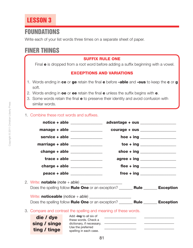### FOUNDATIONS

Write each of your list words three times on a separate sheet of paper.

### FINER THINGS

#### SUFFIX RULE ONE

Final **e** is dropped from a root word before adding a suffix beginning with a vowel.

### EXCEPTIONS AND VARIATIONS

- 1. Words ending in ce or ge retain the final e before -able and -ous to keep the c or g soft.
- 2. Words ending in oe or ee retain the final e unless the suffix begins with e.
- 3. Some words retain the final  $e$  to preserve their identity and avoid confusion with similar words.
- 1. Combine these root words and suffixes.

| manage + able _______________<br>courage + ous __________________<br>service + able ______________<br>marriage + able _______________<br>toe + ing __________________<br>change + able ______________<br>trace + able $\frac{1}{2}$<br>charge + able ______________<br>peace + able ________________<br>Does the spelling follow <b>Rule One</b> or an exception? _______ <b>Rule ______ Exception</b><br>Add <b>-ing</b> to all six of<br>die / dye<br><u> 1989 - Johann Harry Harry Harry Harry Harry Harry Harry Harry Harry Harry Harry Harry Harry Harry Harry Harry</u> |  |
|-------------------------------------------------------------------------------------------------------------------------------------------------------------------------------------------------------------------------------------------------------------------------------------------------------------------------------------------------------------------------------------------------------------------------------------------------------------------------------------------------------------------------------------------------------------------------------|--|
| 2. Write: <b>notable</b> (note + able) _____________________<br>3. Compare and contrast the spelling and meaning of these words.                                                                                                                                                                                                                                                                                                                                                                                                                                              |  |
|                                                                                                                                                                                                                                                                                                                                                                                                                                                                                                                                                                               |  |
|                                                                                                                                                                                                                                                                                                                                                                                                                                                                                                                                                                               |  |
|                                                                                                                                                                                                                                                                                                                                                                                                                                                                                                                                                                               |  |
|                                                                                                                                                                                                                                                                                                                                                                                                                                                                                                                                                                               |  |
|                                                                                                                                                                                                                                                                                                                                                                                                                                                                                                                                                                               |  |
|                                                                                                                                                                                                                                                                                                                                                                                                                                                                                                                                                                               |  |
|                                                                                                                                                                                                                                                                                                                                                                                                                                                                                                                                                                               |  |
|                                                                                                                                                                                                                                                                                                                                                                                                                                                                                                                                                                               |  |
|                                                                                                                                                                                                                                                                                                                                                                                                                                                                                                                                                                               |  |
|                                                                                                                                                                                                                                                                                                                                                                                                                                                                                                                                                                               |  |
| these words. Check a<br>sing / singe<br>Use the preferred<br>ting / tinge<br>spelling in each case.                                                                                                                                                                                                                                                                                                                                                                                                                                                                           |  |